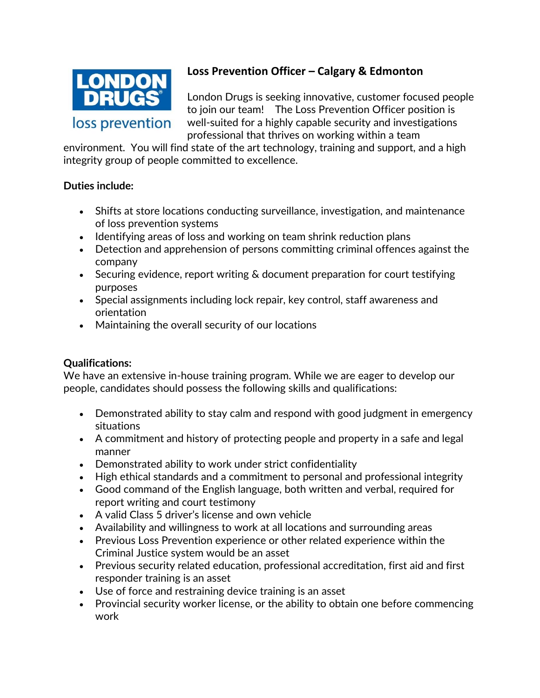

## **Loss Prevention Officer – Calgary & Edmonton**

London Drugs is seeking innovative, customer focused people to join our team! The Loss Prevention Officer position is well-suited for a highly capable security and investigations professional that thrives on working within a team

environment. You will find state of the art technology, training and support, and a high integrity group of people committed to excellence.

## **Duties include:**

- Shifts at store locations conducting surveillance, investigation, and maintenance of loss prevention systems
- Identifying areas of loss and working on team shrink reduction plans
- Detection and apprehension of persons committing criminal offences against the company
- Securing evidence, report writing & document preparation for court testifying purposes
- Special assignments including lock repair, key control, staff awareness and orientation
- Maintaining the overall security of our locations

## **Qualifications:**

We have an extensive in-house training program. While we are eager to develop our people, candidates should possess the following skills and qualifications:

- Demonstrated ability to stay calm and respond with good judgment in emergency situations
- A commitment and history of protecting people and property in a safe and legal manner
- Demonstrated ability to work under strict confidentiality
- High ethical standards and a commitment to personal and professional integrity
- Good command of the English language, both written and verbal, required for report writing and court testimony
- A valid Class 5 driver's license and own vehicle
- Availability and willingness to work at all locations and surrounding areas
- Previous Loss Prevention experience or other related experience within the Criminal Justice system would be an asset
- Previous security related education, professional accreditation, first aid and first responder training is an asset
- Use of force and restraining device training is an asset
- Provincial security worker license, or the ability to obtain one before commencing work